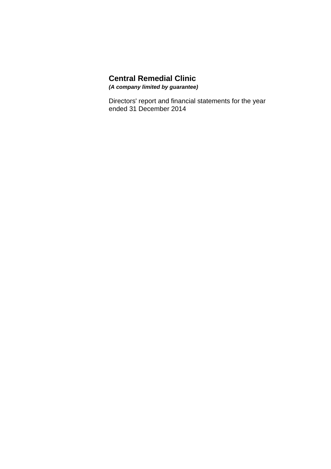# **Central Remedial Clinic**

*(A company limited by guarantee)*

Directors' report and financial statements for the year ended 31 December 2014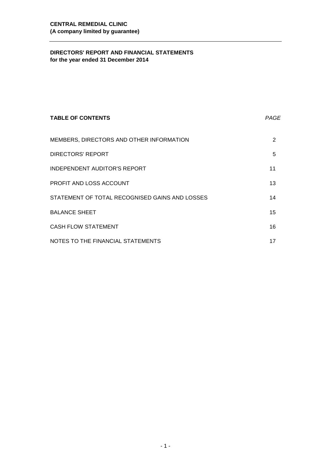# **DIRECTORS' REPORT AND FINANCIAL STATEMENTS for the year ended 31 December 2014**

| <b>TABLE OF CONTENTS</b>                       | PAGE |
|------------------------------------------------|------|
| MEMBERS, DIRECTORS AND OTHER INFORMATION       | 2    |
| DIRECTORS' REPORT                              | 5    |
| INDEPENDENT AUDITOR'S REPORT                   | 11   |
| <b>PROFIT AND LOSS ACCOUNT</b>                 | 13   |
| STATEMENT OF TOTAL RECOGNISED GAINS AND LOSSES | 14   |
| <b>BALANCE SHEET</b>                           | 15   |
| <b>CASH FLOW STATEMENT</b>                     | 16   |
| NOTES TO THE FINANCIAL STATEMENTS              | 17   |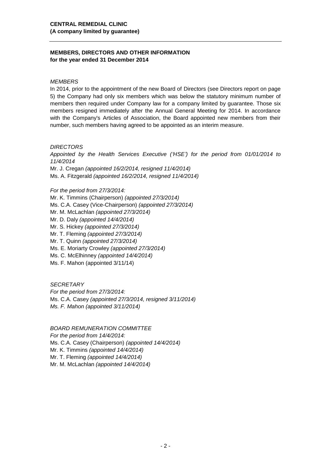# **MEMBERS, DIRECTORS AND OTHER INFORMATION for the year ended 31 December 2014**

### *MEMBERS*

In 2014, prior to the appointment of the new Board of Directors (see Directors report on page 5) the Company had only six members which was below the statutory minimum number of members then required under Company law for a company limited by guarantee. Those six members resigned immediately after the Annual General Meeting for 2014. In accordance with the Company's Articles of Association, the Board appointed new members from their number, such members having agreed to be appointed as an interim measure.

### *DIRECTORS*

*Appointed by the Health Services Executive ('HSE') for the period from 01/01/2014 to 11/4/2014*

Mr. J. Cregan *(appointed 16/2/2014, resigned 11/4/2014)*

Ms. A. Fitzgerald *(appointed 16/2/2014, resigned 11/4/2014)*

*For the period from 27/3/2014:*

Mr. K. Timmins (Chairperson) *(appointed 27/3/2014)*

- Ms. C.A. Casey (Vice-Chairperson) *(appointed 27/3/2014)*
- Mr. M. McLachlan *(appointed 27/3/2014)*
- Mr. D. Daly *(appointed 14/4/2014)*
- Mr. S. Hickey *(appointed 27/3/2014)*
- Mr. T. Fleming *(appointed 27/3/2014)*
- Mr. T. Quinn *(appointed 27/3/2014)*
- Ms. E. Moriarty Crowley *(appointed 27/3/2014)*
- Ms. C. McElhinney *(appointed 14/4/2014)*
- Ms. F. Mahon (appointed 3/11/14)

*SECRETARY*

*For the period from 27/3/2014:* Ms. C.A. Casey *(appointed 27/3/2014, resigned 3/11/2014) Ms. F. Mahon (appointed 3/11/2014)*

*BOARD REMUNERATION COMMITTEE For the period from 14/4/2014:* Ms. C.A. Casey (Chairperson) *(appointed 14/4/2014)* Mr. K. Timmins *(appointed 14/4/2014)* Mr. T. Fleming *(appointed 14/4/2014)* Mr. M. McLachlan *(appointed 14/4/2014)*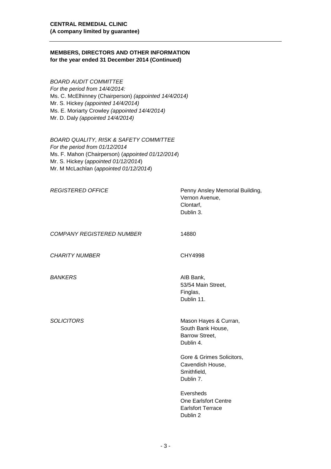### **MEMBERS, DIRECTORS AND OTHER INFORMATION for the year ended 31 December 2014 (Continued)**

*BOARD AUDIT COMMITTEE For the period from 14/4/2014:* Ms. C. McElhinney (Chairperson) *(appointed 14/4/2014)* Mr. S. Hickey *(appointed 14/4/2014)* Ms. E. Moriarty Crowley *(appointed 14/4/2014)* Mr. D. Daly *(appointed 14/4/2014)*

*BOARD QUALITY, RISK & SAFETY COMMITTEE For the period from 01/12/2014* Ms. F. Mahon (Chairperson) (*appointed 01/12/2014*) Mr. S. Hickey (*appointed 01/12/2014*) Mr. M McLachlan (*appointed 01/12/2014*)

| <b>REGISTERED OFFICE</b>         | Penny Ansley Memorial Building,<br>Vernon Avenue,<br>Clontarf,<br>Dublin 3.      |
|----------------------------------|----------------------------------------------------------------------------------|
| <b>COMPANY REGISTERED NUMBER</b> | 14880                                                                            |
| <b>CHARITY NUMBER</b>            | CHY4998                                                                          |
| <b>BANKERS</b>                   | AIB Bank,<br>53/54 Main Street,<br>Finglas,<br>Dublin 11.                        |
| <b>SOLICITORS</b>                | Mason Hayes & Curran,<br>South Bank House,<br><b>Barrow Street,</b><br>Dublin 4. |
|                                  | Gore & Grimes Solicitors,<br>Cavendish House,<br>Smithfield,<br>Dublin 7.        |
|                                  | Eversheds<br>One Earlsfort Centre<br><b>Earlsfort Terrace</b><br>Dublin 2        |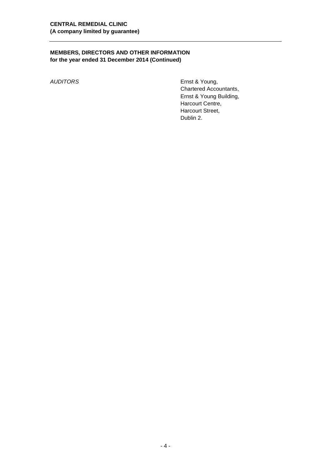# **MEMBERS, DIRECTORS AND OTHER INFORMATION for the year ended 31 December 2014 (Continued)**

*AUDITORS* Ernst & Young, Chartered Accountants, Ernst & Young Building, Harcourt Centre, Harcourt Street, Dublin 2.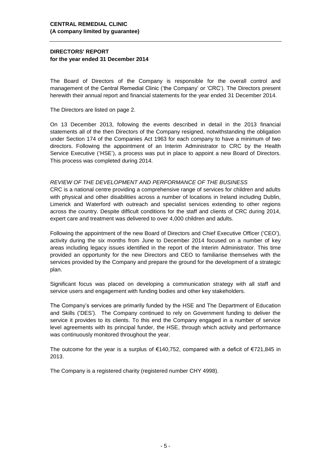# **DIRECTORS' REPORT for the year ended 31 December 2014**

The Board of Directors of the Company is responsible for the overall control and management of the Central Remedial Clinic ('the Company' or 'CRC'). The Directors present herewith their annual report and financial statements for the year ended 31 December 2014.

The Directors are listed on page 2.

On 13 December 2013, following the events described in detail in the 2013 financial statements all of the then Directors of the Company resigned, notwithstanding the obligation under Section 174 of the Companies Act 1963 for each company to have a minimum of two directors. Following the appointment of an Interim Administrator to CRC by the Health Service Executive ('HSE'), a process was put in place to appoint a new Board of Directors. This process was completed during 2014.

# *REVIEW OF THE DEVELOPMENT AND PERFORMANCE OF THE BUSINESS*

CRC is a national centre providing a comprehensive range of services for children and adults with physical and other disabilities across a number of locations in Ireland including Dublin, Limerick and Waterford with outreach and specialist services extending to other regions across the country. Despite difficult conditions for the staff and clients of CRC during 2014, expert care and treatment was delivered to over 4,000 children and adults.

Following the appointment of the new Board of Directors and Chief Executive Officer ('CEO'), activity during the six months from June to December 2014 focused on a number of key areas including legacy issues identified in the report of the Interim Administrator. This time provided an opportunity for the new Directors and CEO to familiarise themselves with the services provided by the Company and prepare the ground for the development of a strategic plan.

Significant focus was placed on developing a communication strategy with all staff and service users and engagement with funding bodies and other key stakeholders.

The Company's services are primarily funded by the HSE and The Department of Education and Skills ('DES'). The Company continued to rely on Government funding to deliver the service it provides to its clients. To this end the Company engaged in a number of service level agreements with its principal funder, the HSE, through which activity and performance was continuously monitored throughout the year.

The outcome for the year is a surplus of  $€140,752$ , compared with a deficit of  $€721,845$  in 2013.

The Company is a registered charity (registered number CHY 4998).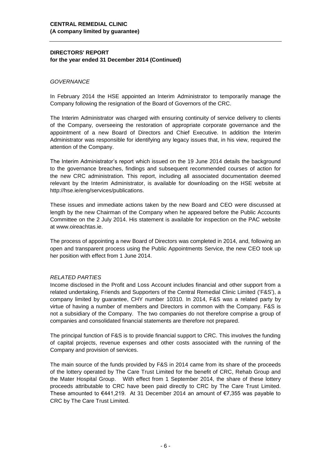# *GOVERNANCE*

In February 2014 the HSE appointed an Interim Administrator to temporarily manage the Company following the resignation of the Board of Governors of the CRC.

The Interim Administrator was charged with ensuring continuity of service delivery to clients of the Company, overseeing the restoration of appropriate corporate governance and the appointment of a new Board of Directors and Chief Executive. In addition the Interim Administrator was responsible for identifying any legacy issues that, in his view, required the attention of the Company.

The Interim Administrator's report which issued on the 19 June 2014 details the background to the governance breaches, findings and subsequent recommended courses of action for the new CRC administration. This report, including all associated documentation deemed relevant by the Interim Administrator, is available for downloading on the HSE website at http://hse.ie/eng/services/publications.

These issues and immediate actions taken by the new Board and CEO were discussed at length by the new Chairman of the Company when he appeared before the Public Accounts Committee on the 2 July 2014. His statement is available for inspection on the PAC website at www.oireachtas.ie.

The process of appointing a new Board of Directors was completed in 2014, and, following an open and transparent process using the Public Appointments Service, the new CEO took up her position with effect from 1 June 2014.

### *RELATED PARTIES*

Income disclosed in the Profit and Loss Account includes financial and other support from a related undertaking, Friends and Supporters of the Central Remedial Clinic Limited ('F&S'), a company limited by guarantee, CHY number 10310. In 2014, F&S was a related party by virtue of having a number of members and Directors in common with the Company. F&S is not a subsidiary of the Company. The two companies do not therefore comprise a group of companies and consolidated financial statements are therefore not prepared.

The principal function of F&S is to provide financial support to CRC. This involves the funding of capital projects, revenue expenses and other costs associated with the running of the Company and provision of services.

The main source of the funds provided by F&S in 2014 came from its share of the proceeds of the lottery operated by The Care Trust Limited for the benefit of CRC, Rehab Group and the Mater Hospital Group. With effect from 1 September 2014, the share of these lottery proceeds attributable to CRC have been paid directly to CRC by The Care Trust Limited. These amounted to  $€441,219$ . At 31 December 2014 an amount of  $€7,355$  was payable to CRC by The Care Trust Limited.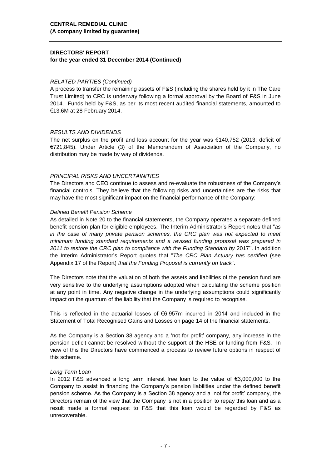### *RELATED PARTIES (Continued)*

A process to transfer the remaining assets of F&S (including the shares held by it in The Care Trust Limited) to CRC is underway following a formal approval by the Board of F&S in June 2014. Funds held by F&S, as per its most recent audited financial statements, amounted to €13.6M at 28 February 2014.

#### *RESULTS AND DIVIDENDS*

The net surplus on the profit and loss account for the year was  $\epsilon$ 140,752 (2013: deficit of €721,845). Under Article (3) of the Memorandum of Association of the Company, no distribution may be made by way of dividends.

### *PRINCIPAL RISKS AND UNCERTAINITIES*

The Directors and CEO continue to assess and re-evaluate the robustness of the Company's financial controls. They believe that the following risks and uncertainties are the risks that may have the most significant impact on the financial performance of the Company:

#### *Defined Benefit Pension Scheme*

As detailed in Note 20 to the financial statements, the Company operates a separate defined benefit pension plan for eligible employees. The Interim Administrator's Report notes that "*as in the case of many private pension schemes, the CRC plan was not expected to meet minimum funding standard requirements and a revised funding proposal was prepared in 2011 to restore the CRC plan to compliance with the Funding Standard by* 2017''. In addition the Interim Administrator's Report quotes that "*The CRC Plan Actuary has certified* (see Appendix 17 of the Report) *that the Funding Proposal is currently on track"*.

The Directors note that the valuation of both the assets and liabilities of the pension fund are very sensitive to the underlying assumptions adopted when calculating the scheme position at any point in time. Any negative change in the underlying assumptions could significantly impact on the quantum of the liability that the Company is required to recognise.

This is reflected in the actuarial losses of €6.957m incurred in 2014 and included in the Statement of Total Recognised Gains and Losses on page 14 of the financial statements.

As the Company is a Section 38 agency and a 'not for profit' company, any increase in the pension deficit cannot be resolved without the support of the HSE or funding from F&S. In view of this the Directors have commenced a process to review future options in respect of this scheme.

#### *Long Term Loan*

In 2012 F&S advanced a long term interest free loan to the value of €3,000,000 to the Company to assist in financing the Company's pension liabilities under the defined benefit pension scheme. As the Company is a Section 38 agency and a 'not for profit' company, the Directors remain of the view that the Company is not in a position to repay this loan and as a result made a formal request to F&S that this loan would be regarded by F&S as unrecoverable.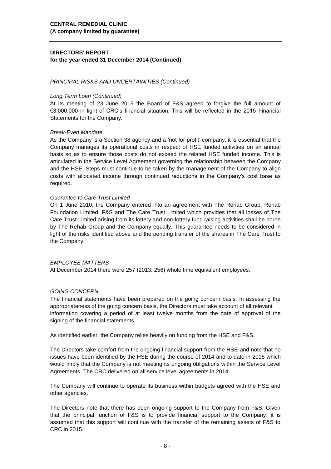### *PRINCIPAL RISKS AND UNCERTAINITIES (Continued)*

#### *Long Term Loan (Continued)*

At its meeting of 23 June 2015 the Board of F&S agreed to forgive the full amount of €3,000,000 in light of CRC's financial situation. This will be reflected in the 2015 Financial Statements for the Company.

#### *Break-Even Mandate*

As the Company is a Section 38 agency and a 'not for profit' company, it is essential that the Company manages its operational costs in respect of HSE funded activities on an annual basis so as to ensure those costs do not exceed the related HSE funded income. This is articulated in the Service Level Agreement governing the relationship between the Company and the HSE. Steps must continue to be taken by the management of the Company to align costs with allocated income through continued reductions in the Company's cost base as required.

#### *Guarantee to Care Trust Limited*

On 1 June 2010, the Company entered into an agreement with The Rehab Group, Rehab Foundation Limited, F&S and The Care Trust Limited which provides that all losses of The Care Trust Limited arising from its lottery and non-lottery fund raising activities shall be borne by The Rehab Group and the Company equally. This guarantee needs to be considered in light of the risks identified above and the pending transfer of the shares in The Care Trust to the Company.

### *EMPLOYEE MATTERS*

At December 2014 there were 257 (2013: 256) whole time equivalent employees.

### *GOING CONCERN*

The financial statements have been prepared on the going concern basis. In assessing the appropriateness of the going concern basis, the Directors must take account of all relevant information covering a period of at least twelve months from the date of approval of the signing of the financial statements.

As identified earlier, the Company relies heavily on funding from the HSE and F&S.

The Directors take comfort from the ongoing financial support from the HSE and note that no issues have been identified by the HSE during the course of 2014 and to date in 2015 which would imply that the Company is not meeting its ongoing obligations within the Service Level Agreements. The CRC delivered on all service level agreements in 2014.

The Company will continue to operate its business within budgets agreed with the HSE and other agencies.

The Directors note that there has been ongoing support to the Company from F&S. Given that the principal function of F&S is to provide financial support to the Company, it is assumed that this support will continue with the transfer of the remaining assets of F&S to CRC in 2015.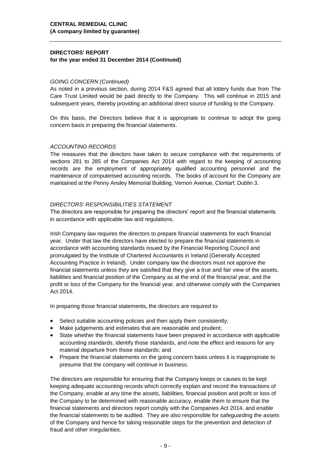#### *GOING CONCERN (Continued)*

As noted in a previous section, during 2014 F&S agreed that all lottery funds due from The Care Trust Limited would be paid directly to the Company. This will continue in 2015 and subsequent years, thereby providing an additional direct source of funding to the Company.

On this basis, the Directors believe that it is appropriate to continue to adopt the going concern basis in preparing the financial statements.

#### *ACCOUNTING RECORDS*

The measures that the directors have taken to secure compliance with the requirements of sections 281 to 285 of the Companies Act 2014 with regard to the keeping of accounting records are the employment of appropriately qualified accounting personnel and the maintenance of computerised accounting records. The books of account for the Company are maintained at the Penny Ansley Memorial Building, Vernon Avenue, Clontarf, Dublin 3.

#### *DIRECTORS' RESPONSIBILITIES STATEMENT*

The directors are responsible for preparing the directors' report and the financial statements in accordance with applicable law and regulations.

Irish Company law requires the directors to prepare financial statements for each financial year. Under that law the directors have elected to prepare the financial statements in accordance with accounting standards issued by the Financial Reporting Council and promulgated by the Institute of Chartered Accountants in Ireland (Generally Accepted Accounting Practice in Ireland). Under company law the directors must not approve the financial statements unless they are satisfied that they give a true and fair view of the assets, liabilities and financial position of the Company as at the end of the financial year, and the profit or loss of the Company for the financial year, and otherwise comply with the Companies Act 2014.

In preparing those financial statements, the directors are required to:

- Select suitable accounting policies and then apply them consistently;
- Make judgements and estimates that are reasonable and prudent;
- State whether the financial statements have been prepared in accordance with applicable accounting standards, identify those standards, and note the effect and reasons for any material departure from those standards; and
- Prepare the financial statements on the going concern basis unless it is inappropriate to presume that the company will continue in business.

The directors are responsible for ensuring that the Company keeps or causes to be kept keeping adequate accounting records which correctly explain and record the transactions of the Company, enable at any time the assets, liabilities, financial position and profit or loss of the Company to be determined with reasonable accuracy, enable them to ensure that the financial statements and directors report comply with the Companies Act 2014, and enable the financial statements to be audited. They are also responsible for safeguarding the assets of the Company and hence for taking reasonable steps for the prevention and detection of fraud and other irregularities.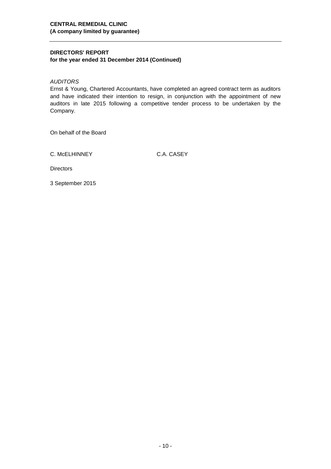# *AUDITORS*

Ernst & Young, Chartered Accountants, have completed an agreed contract term as auditors and have indicated their intention to resign, in conjunction with the appointment of new auditors in late 2015 following a competitive tender process to be undertaken by the Company.

On behalf of the Board

C. McELHINNEY C.A. CASEY

**Directors** 

3 September 2015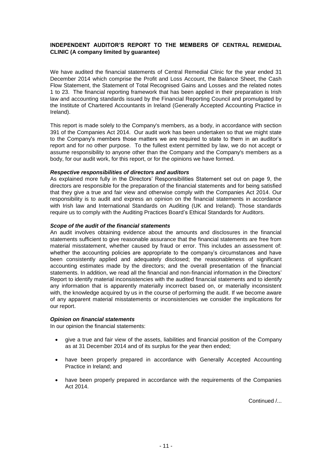# **INDEPENDENT AUDITOR'S REPORT TO THE MEMBERS OF CENTRAL REMEDIAL CLINIC (A company limited by guarantee)**

We have audited the financial statements of Central Remedial Clinic for the year ended 31 December 2014 which comprise the Profit and Loss Account, the Balance Sheet, the Cash Flow Statement, the Statement of Total Recognised Gains and Losses and the related notes 1 to 23. The financial reporting framework that has been applied in their preparation is Irish law and accounting standards issued by the Financial Reporting Council and promulgated by the Institute of Chartered Accountants in Ireland (Generally Accepted Accounting Practice in Ireland).

This report is made solely to the Company's members, as a body, in accordance with section 391 of the Companies Act 2014. Our audit work has been undertaken so that we might state to the Company's members those matters we are required to state to them in an auditor's report and for no other purpose. To the fullest extent permitted by law, we do not accept or assume responsibility to anyone other than the Company and the Company's members as a body, for our audit work, for this report, or for the opinions we have formed.

#### *Respective responsibilities of directors and auditors*

As explained more fully in the Directors' Responsibilities Statement set out on page 9, the directors are responsible for the preparation of the financial statements and for being satisfied that they give a true and fair view and otherwise comply with the Companies Act 2014. Our responsibility is to audit and express an opinion on the financial statements in accordance with Irish law and International Standards on Auditing (UK and Ireland). Those standards require us to comply with the Auditing Practices Board's Ethical Standards for Auditors.

#### *Scope of the audit of the financial statements*

An audit involves obtaining evidence about the amounts and disclosures in the financial statements sufficient to give reasonable assurance that the financial statements are free from material misstatement, whether caused by fraud or error. This includes an assessment of: whether the accounting policies are appropriate to the company's circumstances and have been consistently applied and adequately disclosed; the reasonableness of significant accounting estimates made by the directors; and the overall presentation of the financial statements. In addition, we read all the financial and non-financial information in the Directors' Report to identify material inconsistencies with the audited financial statements and to identify any information that is apparently materially incorrect based on, or materially inconsistent with, the knowledge acquired by us in the course of performing the audit. If we become aware of any apparent material misstatements or inconsistencies we consider the implications for our report.

#### *Opinion on financial statements*

In our opinion the financial statements:

- give a true and fair view of the assets, liabilities and financial position of the Company as at 31 December 2014 and of its surplus for the year then ended;
- have been properly prepared in accordance with Generally Accepted Accounting Practice in Ireland; and
- have been properly prepared in accordance with the requirements of the Companies Act 2014.

Continued /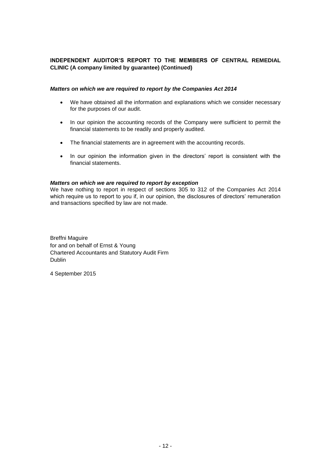# **INDEPENDENT AUDITOR'S REPORT TO THE MEMBERS OF CENTRAL REMEDIAL CLINIC (A company limited by guarantee) (Continued)**

#### *Matters on which we are required to report by the Companies Act 2014*

- We have obtained all the information and explanations which we consider necessary for the purposes of our audit.
- In our opinion the accounting records of the Company were sufficient to permit the financial statements to be readily and properly audited.
- The financial statements are in agreement with the accounting records.
- In our opinion the information given in the directors' report is consistent with the financial statements.

#### *Matters on which we are required to report by exception*

We have nothing to report in respect of sections 305 to 312 of the Companies Act 2014 which require us to report to you if, in our opinion, the disclosures of directors' remuneration and transactions specified by law are not made.

Breffni Maguire for and on behalf of Ernst & Young Chartered Accountants and Statutory Audit Firm **Dublin** 

4 September 2015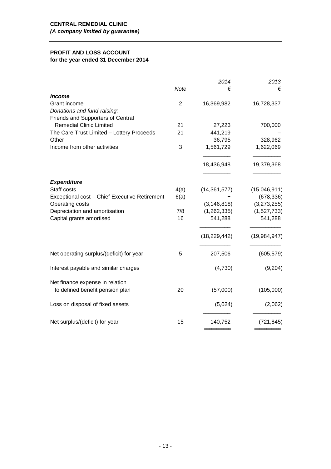# **PROFIT AND LOSS ACCOUNT for the year ended 31 December 2014**

|             | 2014           | 2013         |
|-------------|----------------|--------------|
| <b>Note</b> | €              | €            |
|             |                |              |
| 2           | 16,369,982     | 16,728,337   |
|             |                |              |
|             |                |              |
| 21          | 27,223         | 700,000      |
| 21          | 441,219        |              |
|             | 36,795         | 328,962      |
| 3           | 1,561,729      | 1,622,069    |
|             | 18,436,948     | 19,379,368   |
|             |                |              |
|             |                |              |
| 4(a)        | (14, 361, 577) | (15,046,911) |
| 6(a)        |                | (678, 336)   |
|             | (3, 146, 818)  | (3,273,255)  |
| 7/8         | (1,262,335)    | (1,527,733)  |
| 16          | 541,288        | 541,288      |
|             | (18, 229, 442) | (19,984,947) |
| 5           | 207,506        | (605, 579)   |
|             | (4,730)        | (9,204)      |
|             |                |              |
| 20          | (57,000)       | (105,000)    |
|             | (5,024)        | (2,062)      |
| 15          | 140,752        | (721, 845)   |
|             |                |              |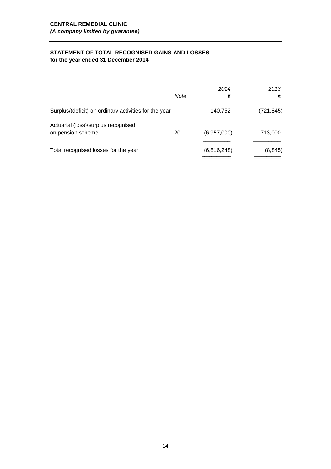# **STATEMENT OF TOTAL RECOGNISED GAINS AND LOSSES for the year ended 31 December 2014**

|                                                          | Note | 2014<br>€   | 2013<br>€  |
|----------------------------------------------------------|------|-------------|------------|
| Surplus/(deficit) on ordinary activities for the year    |      | 140,752     | (721, 845) |
| Actuarial (loss)/surplus recognised<br>on pension scheme | 20   | (6,957,000) | 713,000    |
| Total recognised losses for the year                     |      | (6,816,248) | (8, 845)   |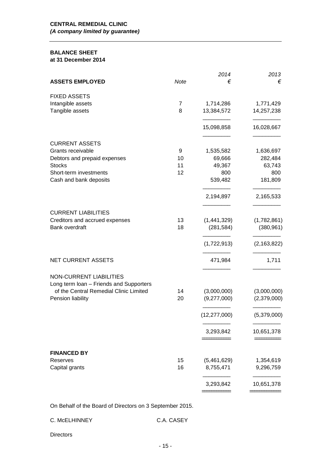# **BALANCE SHEET**

**at 31 December 2014**

|                                         |             | 2014           | 2013          |
|-----------------------------------------|-------------|----------------|---------------|
| <b>ASSETS EMPLOYED</b>                  | <b>Note</b> | €              | €             |
| <b>FIXED ASSETS</b>                     |             |                |               |
| Intangible assets                       | 7           | 1,714,286      | 1,771,429     |
| Tangible assets                         | 8           | 13,384,572     | 14,257,238    |
|                                         |             | 15,098,858     | 16,028,667    |
| <b>CURRENT ASSETS</b>                   |             |                |               |
| Grants receivable                       | 9           | 1,535,582      | 1,636,697     |
| Debtors and prepaid expenses            | 10          | 69,666         | 282,484       |
| <b>Stocks</b>                           | 11          | 49,367         | 63,743        |
| Short-term investments                  | 12          | 800            | 800           |
| Cash and bank deposits                  |             | 539,482        | 181,809       |
|                                         |             | 2,194,897      | 2,165,533     |
| <b>CURRENT LIABILITIES</b>              |             |                |               |
| Creditors and accrued expenses          | 13          | (1,441,329)    | (1,782,861)   |
| <b>Bank overdraft</b>                   | 18          | (281, 584)     | (380, 961)    |
|                                         |             | (1,722,913)    | (2, 163, 822) |
| NET CURRENT ASSETS                      |             | 471,984        | 1,711         |
| NON-CURRENT LIABILITIES                 |             |                |               |
| Long term loan - Friends and Supporters |             |                |               |
| of the Central Remedial Clinic Limited  | 14          | (3,000,000)    | (3,000,000)   |
| Pension liability                       | 20          | (9,277,000)    | (2,379,000)   |
|                                         |             | (12, 277, 000) | (5,379,000)   |
|                                         |             | 3,293,842      | 10,651,378    |
|                                         |             |                |               |
| <b>FINANCED BY</b><br>Reserves          | 15          | (5,461,629)    | 1,354,619     |
| Capital grants                          | 16          | 8,755,471      | 9,296,759     |
|                                         |             | 3,293,842      | 10,651,378    |
|                                         |             |                |               |

On Behalf of the Board of Directors on 3 September 2015.

| C. McELHINNEY | C.A. CASEY |
|---------------|------------|
|               |            |

**Directors**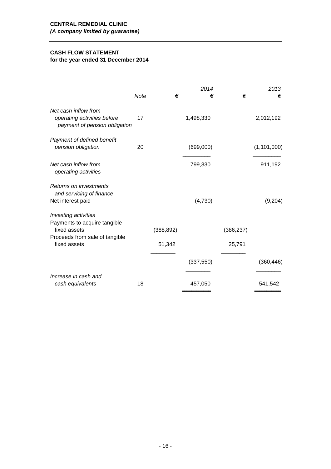# **CASH FLOW STATEMENT for the year ended 31 December 2014**

|                                                                                                                        | <b>Note</b> | €                    | 2014<br>€  | €                    | 2013<br>€     |
|------------------------------------------------------------------------------------------------------------------------|-------------|----------------------|------------|----------------------|---------------|
| Net cash inflow from<br>operating activities before<br>payment of pension obligation                                   | 17          |                      | 1,498,330  |                      | 2,012,192     |
| Payment of defined benefit<br>pension obligation                                                                       | 20          |                      | (699,000)  |                      | (1, 101, 000) |
| Net cash inflow from<br>operating activities                                                                           |             |                      | 799,330    |                      | 911,192       |
| Returns on investments<br>and servicing of finance<br>Net interest paid                                                |             |                      | (4,730)    |                      | (9,204)       |
| Investing activities<br>Payments to acquire tangible<br>fixed assets<br>Proceeds from sale of tangible<br>fixed assets |             | (388, 892)<br>51,342 |            | (386, 237)<br>25,791 |               |
|                                                                                                                        |             |                      | (337, 550) |                      | (360, 446)    |
| Increase in cash and<br>cash equivalents                                                                               | 18          |                      | 457,050    |                      | 541,542       |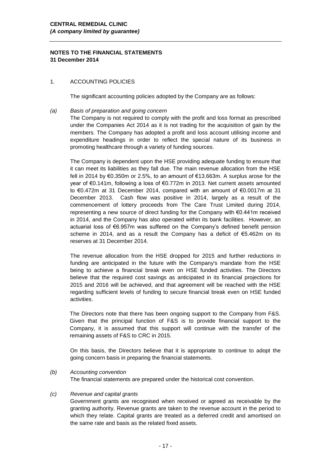# **NOTES TO THE FINANCIAL STATEMENTS 31 December 2014**

# 1. ACCOUNTING POLICIES

The significant accounting policies adopted by the Company are as follows:

#### *(a) Basis of preparation and going concern*

The Company is not required to comply with the profit and loss format as prescribed under the Companies Act 2014 as it is not trading for the acquisition of gain by the members. The Company has adopted a profit and loss account utilising income and expenditure headings in order to reflect the special nature of its business in promoting healthcare through a variety of funding sources.

The Company is dependent upon the HSE providing adequate funding to ensure that it can meet its liabilities as they fall due. The main revenue allocation from the HSE fell in 2014 by €0.350m or 2.5%, to an amount of €13.663m. A surplus arose for the year of €0.141m, following a loss of €0.772m in 2013. Net current assets amounted to €0.472m at 31 December 2014, compared with an amount of €0.0017m at 31 December 2013. Cash flow was positive in 2014, largely as a result of the commencement of lottery proceeds from The Care Trust Limited during 2014, representing a new source of direct funding for the Company with €0.441m received in 2014, and the Company has also operated within its bank facilities. However, an actuarial loss of €6.957m was suffered on the Company's defined benefit pension scheme in 2014, and as a result the Company has a deficit of €5.462m on its reserves at 31 December 2014.

The revenue allocation from the HSE dropped for 2015 and further reductions in funding are anticipated in the future with the Company's mandate from the HSE being to achieve a financial break even on HSE funded activities. The Directors believe that the required cost savings as anticipated in its financial projections for 2015 and 2016 will be achieved, and that agreement will be reached with the HSE regarding sufficient levels of funding to secure financial break even on HSE funded activities.

The Directors note that there has been ongoing support to the Company from F&S. Given that the principal function of F&S is to provide financial support to the Company, it is assumed that this support will continue with the transfer of the remaining assets of F&S to CRC in 2015.

On this basis, the Directors believe that it is appropriate to continue to adopt the going concern basis in preparing the financial statements.

*(b) Accounting convention*

The financial statements are prepared under the historical cost convention.

### *(c) Revenue and capital grants*

Government grants are recognised when received or agreed as receivable by the granting authority. Revenue grants are taken to the revenue account in the period to which they relate. Capital grants are treated as a deferred credit and amortised on the same rate and basis as the related fixed assets.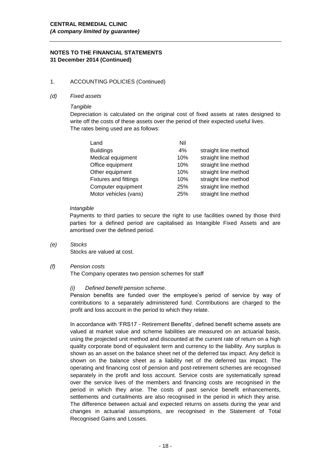# 1. ACCOUNTING POLICIES (Continued)

#### *(d) Fixed assets*

#### *Tangible*

Depreciation is calculated on the original cost of fixed assets at rates designed to write off the costs of these assets over the period of their expected useful lives. The rates being used are as follows:

| Nil |                      |
|-----|----------------------|
| 4%  | straight line method |
| 10% | straight line method |
| 10% | straight line method |
| 10% | straight line method |
| 10% | straight line method |
| 25% | straight line method |
| 25% | straight line method |
|     |                      |

#### *Intangible*

Payments to third parties to secure the right to use facilities owned by those third parties for a defined period are capitalised as Intangible Fixed Assets and are amortised over the defined period.

*(e) Stocks*

Stocks are valued at cost.

### *(f) Pension costs*

The Company operates two pension schemes for staff

### *(i) Defined benefit pension scheme.*

Pension benefits are funded over the employee's period of service by way of contributions to a separately administered fund. Contributions are charged to the profit and loss account in the period to which they relate.

In accordance with 'FRS17 - Retirement Benefits', defined benefit scheme assets are valued at market value and scheme liabilities are measured on an actuarial basis, using the projected unit method and discounted at the current rate of return on a high quality corporate bond of equivalent term and currency to the liability. Any surplus is shown as an asset on the balance sheet net of the deferred tax impact. Any deficit is shown on the balance sheet as a liability net of the deferred tax impact. The operating and financing cost of pension and post-retirement schemes are recognised separately in the profit and loss account. Service costs are systematically spread over the service lives of the members and financing costs are recognised in the period in which they arise. The costs of past service benefit enhancements, settlements and curtailments are also recognised in the period in which they arise. The difference between actual and expected returns on assets during the year and changes in actuarial assumptions, are recognised in the Statement of Total Recognised Gains and Losses.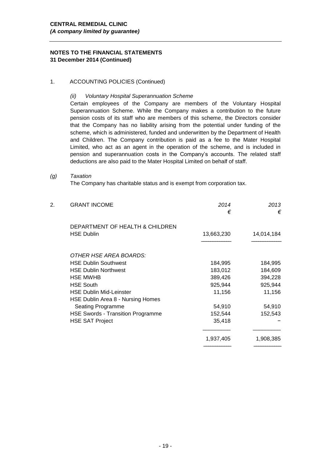# 1. ACCOUNTING POLICIES (Continued)

#### *(ii) Voluntary Hospital Superannuation Scheme*

Certain employees of the Company are members of the Voluntary Hospital Superannuation Scheme. While the Company makes a contribution to the future pension costs of its staff who are members of this scheme, the Directors consider that the Company has no liability arising from the potential under funding of the scheme, which is administered, funded and underwritten by the Department of Health and Children. The Company contribution is paid as a fee to the Mater Hospital Limited, who act as an agent in the operation of the scheme, and is included in pension and superannuation costs in the Company's accounts. The related staff deductions are also paid to the Mater Hospital Limited on behalf of staff.

#### *(g) Taxation*

The Company has charitable status and is exempt from corporation tax.

| 2. | <b>GRANT INCOME</b>                      | 2014<br>€  | 2013<br>€  |
|----|------------------------------------------|------------|------------|
|    | DEPARTMENT OF HEALTH & CHILDREN          |            |            |
|    | <b>HSE Dublin</b>                        | 13,663,230 | 14,014,184 |
|    | OTHER HSE AREA BOARDS:                   |            |            |
|    | <b>HSE Dublin Southwest</b>              | 184,995    | 184,995    |
|    | <b>HSE Dublin Northwest</b>              | 183,012    | 184,609    |
|    | <b>HSE MWHB</b>                          | 389,426    | 394,228    |
|    | <b>HSE South</b>                         | 925,944    | 925,944    |
|    | <b>HSE Dublin Mid-Leinster</b>           | 11,156     | 11,156     |
|    | HSE Dublin Area 8 - Nursing Homes        |            |            |
|    | <b>Seating Programme</b>                 | 54,910     | 54,910     |
|    | <b>HSE Swords - Transition Programme</b> | 152,544    | 152,543    |
|    | <b>HSE SAT Project</b>                   | 35,418     |            |
|    |                                          | 1,937,405  | 1,908,385  |
|    |                                          |            |            |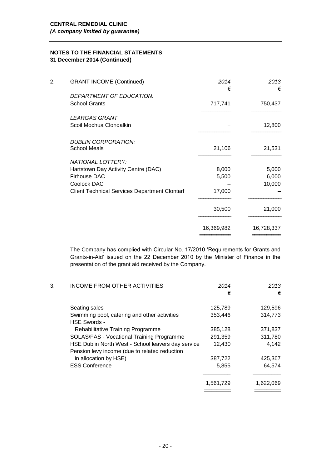| 2. | <b>GRANT INCOME (Continued)</b>                      | 2014<br>€  | 2013<br>€  |
|----|------------------------------------------------------|------------|------------|
|    | DEPARTMENT OF EDUCATION:                             |            |            |
|    | <b>School Grants</b>                                 | 717,741    | 750,437    |
|    | <b>LEARGAS GRANT</b>                                 |            |            |
|    | Scoil Mochua Clondalkin                              |            | 12,800     |
|    | <b>DUBLIN CORPORATION:</b>                           |            |            |
|    | <b>School Meals</b>                                  | 21,106     | 21,531     |
|    | <b>NATIONAL LOTTERY:</b>                             |            |            |
|    | Hartstown Day Activity Centre (DAC)                  | 8,000      | 5,000      |
|    | <b>Firhouse DAC</b>                                  | 5,500      | 6,000      |
|    | Coolock DAC                                          |            | 10,000     |
|    | <b>Client Technical Services Department Clontarf</b> | 17,000     |            |
|    |                                                      | 30,500     | 21,000     |
|    |                                                      |            |            |
|    |                                                      | 16,369,982 | 16,728,337 |
|    |                                                      |            |            |

The Company has complied with Circular No. 17/2010 'Requirements for Grants and Grants-in-Aid' issued on the 22 December 2010 by the Minister of Finance in the presentation of the grant aid received by the Company.

| 3. | <b>INCOME FROM OTHER ACTIVITIES</b>                | 2014      | 2013      |
|----|----------------------------------------------------|-----------|-----------|
|    |                                                    | €         | €         |
|    | Seating sales                                      | 125,789   | 129,596   |
|    | Swimming pool, catering and other activities       | 353,446   | 314,773   |
|    | <b>HSE Swords -</b>                                |           |           |
|    | Rehabilitative Training Programme                  | 385,128   | 371,837   |
|    | SOLAS/FAS - Vocational Training Programme          | 291,359   | 311,780   |
|    | HSE Dublin North West - School leavers day service | 12,430    | 4,142     |
|    | Pension levy income (due to related reduction      |           |           |
|    | in allocation by HSE)                              | 387,722   | 425,367   |
|    | <b>ESS Conference</b>                              | 5,855     | 64,574    |
|    |                                                    |           |           |
|    |                                                    | 1,561,729 | 1,622,069 |
|    |                                                    |           |           |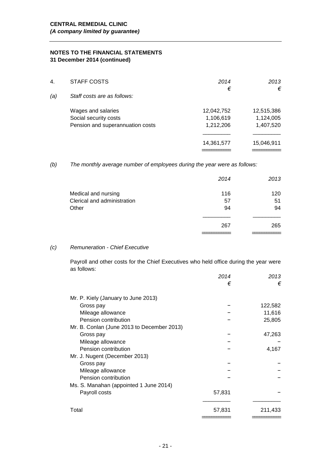| 4.  | <b>STAFF COSTS</b>               | 2014       | 2013       |
|-----|----------------------------------|------------|------------|
| (a) | Staff costs are as follows:      | €          | €          |
|     | Wages and salaries               | 12,042,752 | 12,515,386 |
|     | Social security costs            | 1,106,619  | 1,124,005  |
|     | Pension and superannuation costs | 1,212,206  | 1,407,520  |
|     |                                  |            |            |
|     |                                  | 14,361,577 | 15,046,911 |
|     |                                  |            |            |

# *(b) The monthly average number of employees during the year were as follows:*

|                             | 2014 | 2013 |
|-----------------------------|------|------|
| Medical and nursing         | 116  | 120  |
| Clerical and administration | 57   | 51   |
| Other                       | 94   | 94   |
|                             |      |      |
|                             | 267  | 265  |
|                             |      |      |

### *(c) Remuneration - Chief Executive*

Payroll and other costs for the Chief Executives who held office during the year were as follows:

|                                            | 2014   | 2013    |
|--------------------------------------------|--------|---------|
|                                            | €      | €       |
| Mr. P. Kiely (January to June 2013)        |        |         |
| Gross pay                                  |        | 122,582 |
| Mileage allowance                          |        | 11,616  |
| Pension contribution                       |        | 25,805  |
| Mr. B. Conlan (June 2013 to December 2013) |        |         |
| Gross pay                                  |        | 47,263  |
| Mileage allowance                          |        |         |
| Pension contribution                       |        | 4,167   |
| Mr. J. Nugent (December 2013)              |        |         |
| Gross pay                                  |        |         |
| Mileage allowance                          |        |         |
| Pension contribution                       |        |         |
| Ms. S. Manahan (appointed 1 June 2014)     |        |         |
| Payroll costs                              | 57,831 |         |
| Total                                      | 57,831 | 211,433 |
|                                            |        |         |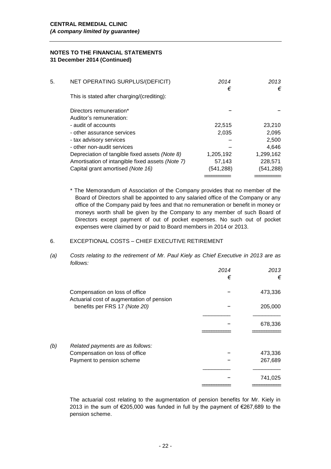| 5. | NET OPERATING SURPLUS/(DEFICIT)                    | 2014<br>€ | 2013<br>€ |
|----|----------------------------------------------------|-----------|-----------|
|    | This is stated after charging/(crediting):         |           |           |
|    | Directors remuneration*<br>Auditor's remuneration: |           |           |
|    | - audit of accounts                                | 22,515    | 23,210    |
|    | - other assurance services                         | 2,035     | 2,095     |
|    | - tax advisory services                            |           | 2,500     |
|    | - other non-audit services                         |           | 4,646     |
|    | Depreciation of tangible fixed assets (Note 8)     | 1,205,192 | 1,299,162 |
|    | Amortisation of intangible fixed assets (Note 7)   | 57,143    | 228,571   |
|    | Capital grant amortised (Note 16)                  | (541,288) | (541,288) |
|    |                                                    |           |           |

\* The Memorandum of Association of the Company provides that no member of the Board of Directors shall be appointed to any salaried office of the Company or any office of the Company paid by fees and that no remuneration or benefit in money or moneys worth shall be given by the Company to any member of such Board of Directors except payment of out of pocket expenses. No such out of pocket expenses were claimed by or paid to Board members in 2014 or 2013.

### 6. EXCEPTIONAL COSTS – CHIEF EXECUTIVE RETIREMENT

*(a) Costs relating to the retirement of Mr. Paul Kiely as Chief Executive in 2013 are as follows:*

|                                                                             | 2014<br>€ | 2013<br>€ |
|-----------------------------------------------------------------------------|-----------|-----------|
| Compensation on loss of office<br>Actuarial cost of augmentation of pension |           | 473,336   |
| benefits per FRS 17 (Note 20)                                               |           | 205,000   |
|                                                                             |           | 678,336   |
| (b)<br>Related payments are as follows:                                     |           |           |
| Compensation on loss of office                                              |           | 473,336   |
| Payment to pension scheme                                                   |           | 267,689   |
|                                                                             |           |           |
|                                                                             |           | 741,025   |

The actuarial cost relating to the augmentation of pension benefits for Mr. Kiely in 2013 in the sum of €205,000 was funded in full by the payment of €267,689 to the pension scheme.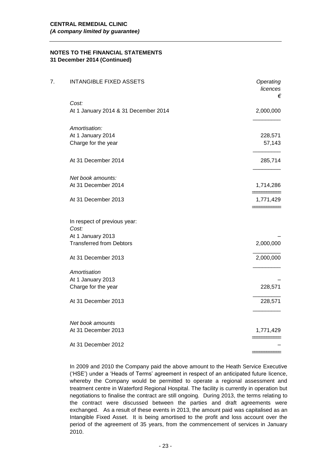| 7. | <b>INTANGIBLE FIXED ASSETS</b>        | Operating<br>licences<br>€ |
|----|---------------------------------------|----------------------------|
|    | Cost:                                 |                            |
|    | At 1 January 2014 & 31 December 2014  | 2,000,000                  |
|    | Amortisation:                         |                            |
|    | At 1 January 2014                     | 228,571                    |
|    | Charge for the year                   | 57,143                     |
|    | At 31 December 2014                   | 285,714                    |
|    | Net book amounts:                     |                            |
|    | At 31 December 2014                   | 1,714,286                  |
|    | At 31 December 2013                   | 1,771,429                  |
|    | In respect of previous year:<br>Cost: |                            |
|    | At 1 January 2013                     |                            |
|    | <b>Transferred from Debtors</b>       | 2,000,000                  |
|    | At 31 December 2013                   | 2,000,000                  |
|    | Amortisation                          |                            |
|    | At 1 January 2013                     |                            |
|    | Charge for the year                   | 228,571                    |
|    | At 31 December 2013                   | 228,571                    |
|    | Net book amounts                      |                            |
|    | At 31 December 2013                   | 1,771,429                  |
|    | At 31 December 2012                   |                            |
|    |                                       |                            |

In 2009 and 2010 the Company paid the above amount to the Heath Service Executive ('HSE') under a 'Heads of Terms' agreement in respect of an anticipated future licence, whereby the Company would be permitted to operate a regional assessment and treatment centre in Waterford Regional Hospital. The facility is currently in operation but negotiations to finalise the contract are still ongoing. During 2013, the terms relating to the contract were discussed between the parties and draft agreements were exchanged. As a result of these events in 2013, the amount paid was capitalised as an Intangible Fixed Asset. It is being amortised to the profit and loss account over the period of the agreement of 35 years, from the commencement of services in January 2010.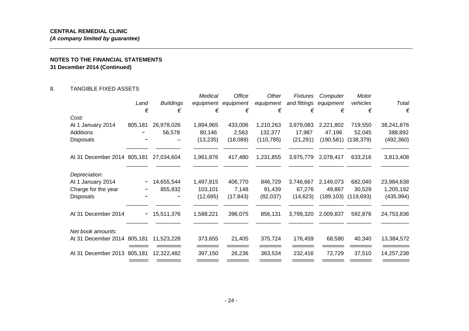# 8. TANGIBLE FIXED ASSETS

|                             |         |                  | Medical   | Office              | Other      | <b>Fixtures</b> | Computer   | Motor      |            |
|-----------------------------|---------|------------------|-----------|---------------------|------------|-----------------|------------|------------|------------|
|                             | Land    | <b>Buildings</b> |           | equipment equipment | equipment  | and fittings    | equipment  | vehicles   | Total      |
|                             | €       | €                | €         | €                   | €          | €               | €          | €          | €          |
| Cost:                       |         |                  |           |                     |            |                 |            |            |            |
| At 1 January 2014           | 805,181 | 26,978,026       | 1,894,965 | 433,006             | 1,210,263  | 3,979,083       | 2,221,802  | 719,550    | 38,241,876 |
| Additions                   |         | 56,578           | 80,146    | 2,563               | 132,377    | 17,987          | 47,196     | 52,045     | 388,892    |
| Disposals                   |         |                  | (13, 235) | (18,089)            | (110, 785) | (21, 291)       | (190,581)  | (138, 379) | (492, 360) |
| At 31 December 2014 805,181 |         | 27,034,604       | 1,961,876 | 417,480             | 1,231,855  | 3,975,779       | 2,078,417  | 633,216    | 3,813,408  |
| Depreciation:               |         |                  |           |                     |            |                 |            |            |            |
| At 1 January 2014           |         | 14,655,544       | 1,497,815 | 406,770             | 846,729    | 3,746,667       | 2,149,073  | 682,040    | 23,984,638 |
| Charge for the year         |         | 855,832          | 103,101   | 7,148               | 91,439     | 67,276          | 49,867     | 30,529     | 1,205,192  |
| <b>Disposals</b>            |         |                  | (12, 695) | (17, 843)           | (82,037)   | (14, 623)       | (189, 103) | (119, 693) | (435, 994) |
| At 31 December 2014         |         | 15,511,376       | 1,588,221 | 396,075             | 856,131    | 3,799,320       | 2,009,837  | 592,876    | 24,753,836 |
| Net book amounts:           |         |                  |           |                     |            |                 |            |            |            |
| At 31 December 2014         | 805,181 | 11,523,228       | 373,655   | 21,405              | 375,724    | 176,459         | 68,580     | 40,340     | 13,384,572 |
| At 31 December 2013         | 805,181 | 12,322,482       | 397,150   | 26,236              | 363,534    | 232,416         | 72,729     | 37,510     | 14,257,238 |
|                             |         |                  |           |                     |            |                 |            |            |            |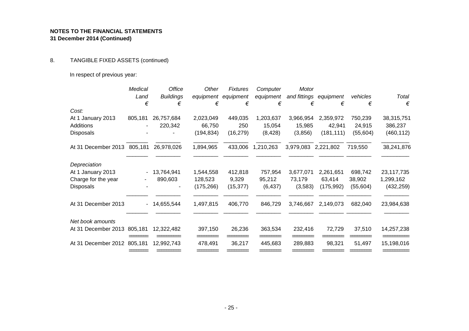# 8. TANGIBLE FIXED ASSETS (continued)

In respect of previous year:

|                             | Medical | Office           | Other      | <b>Fixtures</b> | Computer  | Motor               |            |           |            |
|-----------------------------|---------|------------------|------------|-----------------|-----------|---------------------|------------|-----------|------------|
|                             | Land    | <b>Buildings</b> | equipment  | equipment       | equipment | and fittings        | equipment  | vehicles  | Total      |
|                             | €       | €                | €          | €               | €         | €                   | €          | €         | €          |
| Cost:                       |         |                  |            |                 |           |                     |            |           |            |
| At 1 January 2013           | 805,181 | 26,757,684       | 2,023,049  | 449,035         | 1,203,637 | 3,966,954           | 2,359,972  | 750,239   | 38,315,751 |
| Additions                   |         | 220,342          | 66,750     | 250             | 15,054    | 15,985              | 42,941     | 24,915    | 386,237    |
| <b>Disposals</b>            |         |                  | (194, 834) | (16, 279)       | (8, 428)  | (3,856)             | (181, 111) | (55, 604) | (460, 112) |
| At 31 December 2013 805,181 |         | 26,978,026       | 1,894,965  | 433,006         | 1,210,263 | 3,979,083 2,221,802 |            | 719,550   | 38,241,876 |
| Depreciation                |         |                  |            |                 |           |                     |            |           |            |
| At 1 January 2013           |         | 13,764,941       | 1,544,558  | 412,818         | 757,954   | 3,677,071           | 2,261,651  | 698,742   | 23,117,735 |
| Charge for the year         |         | 890,603          | 128,523    | 9,329           | 95,212    | 73,179              | 63,414     | 38,902    | 1,299,162  |
| <b>Disposals</b>            |         |                  | (175, 266) | (15, 377)       | (6, 437)  | (3,583)             | (175, 992) | (55,604)  | (432, 259) |
| At 31 December 2013         | $\sim$  | 14,655,544       | 1,497,815  | 406,770         | 846,729   | 3,746,667           | 2,149,073  | 682,040   | 23,984,638 |
| Net book amounts            |         |                  |            |                 |           |                     |            |           |            |
| At 31 December 2013 805,181 |         | 12,322,482       | 397,150    | 26,236          | 363,534   | 232,416             | 72,729     | 37,510    | 14,257,238 |
| At 31 December 2012         | 805,181 | 12,992,743       | 478,491    | 36,217          | 445,683   | 289,883             | 98,321     | 51,497    | 15,198,016 |
|                             |         |                  |            |                 |           |                     |            |           |            |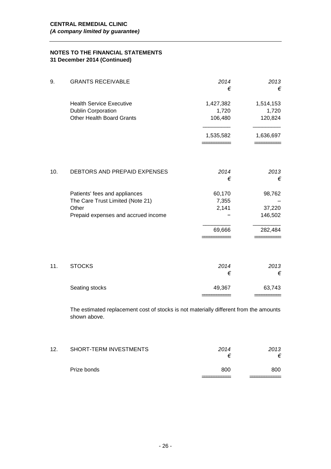| 9.  | <b>GRANTS RECEIVABLE</b>                                                                                          | 2014<br>€                          | 2013<br>€                              |
|-----|-------------------------------------------------------------------------------------------------------------------|------------------------------------|----------------------------------------|
|     | <b>Health Service Executive</b><br><b>Dublin Corporation</b><br>Other Health Board Grants                         | 1,427,382<br>1,720<br>106,480      | 1,514,153<br>1,720<br>120,824          |
|     |                                                                                                                   | 1,535,582                          | 1,636,697                              |
| 10. | DEBTORS AND PREPAID EXPENSES                                                                                      | 2014<br>€                          | 2013<br>€                              |
|     | Patients' fees and appliances<br>The Care Trust Limited (Note 21)<br>Other<br>Prepaid expenses and accrued income | 60,170<br>7,355<br>2,141<br>69,666 | 98,762<br>37,220<br>146,502<br>282,484 |
| 11. | <b>STOCKS</b>                                                                                                     | 2014<br>€                          | 2013<br>€                              |
|     | Seating stocks                                                                                                    | 49,367                             | 63,743                                 |

The estimated replacement cost of stocks is not materially different from the amounts shown above.

| 12. | SHORT-TERM INVESTMENTS | 2014<br>€ | 2013<br>€ |
|-----|------------------------|-----------|-----------|
|     | Prize bonds            | 800       | 800       |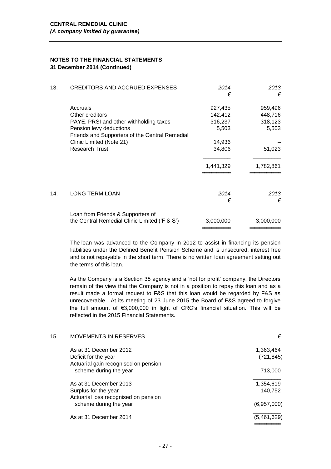| <b>CREDITORS AND ACCRUED EXPENSES</b>         | 2014<br>€                                                                                                                                                                            | 2013<br>€                             |
|-----------------------------------------------|--------------------------------------------------------------------------------------------------------------------------------------------------------------------------------------|---------------------------------------|
| Accruals                                      | 927,435                                                                                                                                                                              | 959,496                               |
| Other creditors                               |                                                                                                                                                                                      | 448,716                               |
|                                               |                                                                                                                                                                                      | 318,123                               |
|                                               |                                                                                                                                                                                      | 5,503                                 |
|                                               |                                                                                                                                                                                      |                                       |
|                                               |                                                                                                                                                                                      |                                       |
| <b>Research Trust</b>                         | 34,806                                                                                                                                                                               | 51,023                                |
|                                               | 1,441,329                                                                                                                                                                            | 1,782,861                             |
| <b>LONG TERM LOAN</b>                         | 2014                                                                                                                                                                                 | 2013                                  |
|                                               | €                                                                                                                                                                                    | €                                     |
|                                               |                                                                                                                                                                                      |                                       |
| the Central Remedial Clinic Limited ('F & S') | 3,000,000                                                                                                                                                                            | 3,000,000                             |
|                                               | PAYE, PRSI and other withholding taxes<br>Pension levy deductions<br>Friends and Supporters of the Central Remedial<br>Clinic Limited (Note 21)<br>Loan from Friends & Supporters of | 142,412<br>316,237<br>5,503<br>14,936 |

The loan was advanced to the Company in 2012 to assist in financing its pension liabilities under the Defined Benefit Pension Scheme and is unsecured, interest free and is not repayable in the short term. There is no written loan agreement setting out the terms of this loan.

As the Company is a Section 38 agency and a 'not for profit' company, the Directors remain of the view that the Company is not in a position to repay this loan and as a result made a formal request to F&S that this loan would be regarded by F&S as unrecoverable. At its meeting of 23 June 2015 the Board of F&S agreed to forgive the full amount of €3,000,000 in light of CRC's financial situation. This will be reflected in the 2015 Financial Statements.

| 15. | <b>MOVEMENTS IN RESERVES</b>         | €           |
|-----|--------------------------------------|-------------|
|     | As at 31 December 2012               | 1,363,464   |
|     | Deficit for the year                 | (721, 845)  |
|     | Actuarial gain recognised on pension |             |
|     | scheme during the year               | 713,000     |
|     | As at 31 December 2013               | 1,354,619   |
|     | Surplus for the year                 | 140,752     |
|     | Actuarial loss recognised on pension |             |
|     | scheme during the year               | (6,957,000) |
|     | As at 31 December 2014               | (5,461,629) |
|     |                                      |             |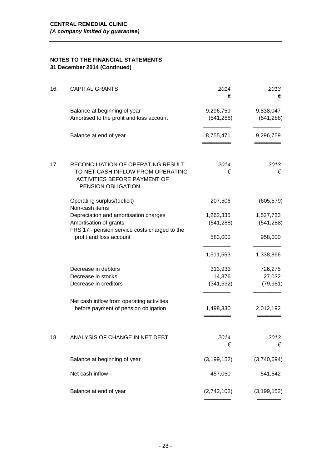| 16. | <b>CAPITAL GRANTS</b>                                                                                                         | 2014<br>€               | 2013<br>€               |
|-----|-------------------------------------------------------------------------------------------------------------------------------|-------------------------|-------------------------|
|     | Balance at beginning of year<br>Amortised to the profit and loss account                                                      | 9,296,759<br>(541, 288) | 9,838,047<br>(541, 288) |
|     | Balance at end of year                                                                                                        | 8,755,471               | 9,296,759               |
| 17. | RECONCILIATION OF OPERATING RESULT<br>TO NET CASH INFLOW FROM OPERATING<br>ACTIVITIES BEFORE PAYMENT OF<br>PENSION OBLIGATION | 2014<br>€               | 2013<br>€               |
|     | Operating surplus/(deficit)<br>Non-cash items                                                                                 | 207,506                 | (605, 579)              |
|     | Depreciation and amortisation charges                                                                                         | 1,262,335               | 1,527,733               |
|     | Amortisation of grants                                                                                                        | (541, 288)              | (541, 288)              |
|     | FRS 17 - pension service costs charged to the<br>profit and loss account                                                      | 583,000                 | 958,000                 |
|     |                                                                                                                               | 1,511,553               | 1,338,866               |
|     | Decrease in debtors                                                                                                           | 313,933                 | 726,275                 |
|     | Decrease in stocks                                                                                                            | 14,376                  | 27,032                  |
|     | Decrease in creditors                                                                                                         | (341, 532)              | (79, 981)               |
|     | Net cash inflow from operating activities                                                                                     |                         |                         |
|     | before payment of pension obligation                                                                                          | 1,498,330               | 2,012,192               |
| 18. | ANALYSIS OF CHANGE IN NET DEBT                                                                                                | 2014<br>€               | 2013<br>€               |
|     | Balance at beginning of year                                                                                                  | (3, 199, 152)           | (3,740,694)             |
|     | Net cash inflow                                                                                                               | 457,050                 | 541,542                 |
|     | Balance at end of year                                                                                                        | (2,742,102)             | (3, 199, 152)           |
|     |                                                                                                                               |                         |                         |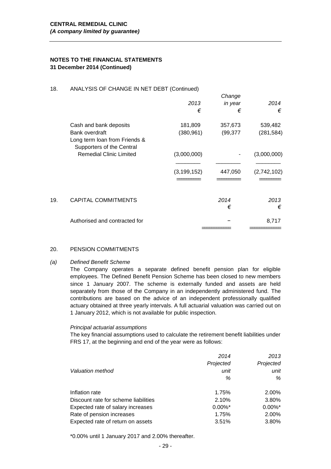# 18. ANALYSIS OF CHANGE IN NET DEBT (Continued)

|     |                                                                              |               | Change    |             |
|-----|------------------------------------------------------------------------------|---------------|-----------|-------------|
|     |                                                                              | 2013          | in year   | 2014        |
|     |                                                                              | €             | €         | €           |
|     | Cash and bank deposits                                                       | 181,809       | 357,673   | 539,482     |
|     | Bank overdraft<br>Long term loan from Friends &<br>Supporters of the Central | (380, 961)    | (99, 377) | (281, 584)  |
|     | <b>Remedial Clinic Limited</b>                                               | (3,000,000)   |           | (3,000,000) |
|     |                                                                              | (3, 199, 152) | 447,050   | (2,742,102) |
| 19. | CAPITAL COMMITMENTS                                                          |               | 2014<br>€ | 2013<br>€   |
|     | Authorised and contracted for                                                |               |           | 8,717       |
|     |                                                                              |               |           |             |

# 20. PENSION COMMITMENTS

# *(a) Defined Benefit Scheme*

The Company operates a separate defined benefit pension plan for eligible employees. The Defined Benefit Pension Scheme has been closed to new members since 1 January 2007. The scheme is externally funded and assets are held separately from those of the Company in an independently administered fund. The contributions are based on the advice of an independent professionally qualified actuary obtained at three yearly intervals. A full actuarial valuation was carried out on 1 January 2012, which is not available for public inspection.

#### *Principal actuarial assumptions*

The key financial assumptions used to calculate the retirement benefit liabilities under FRS 17, at the beginning and end of the year were as follows:

|                                      | 2014                  | 2013       |
|--------------------------------------|-----------------------|------------|
|                                      | Projected             | Projected  |
| Valuation method                     | unit                  | unit       |
|                                      | %                     | %          |
| Inflation rate                       | 1.75%                 | 2.00%      |
| Discount rate for scheme liabilities | 2.10%                 | 3.80%      |
| Expected rate of salary increases    | $0.00\%$ <sup>*</sup> | $0.00\%$ * |
| Rate of pension increases            | 1.75%                 | 2.00%      |
| Expected rate of return on assets    | 3.51%                 | 3.80%      |

\*0.00% until 1 January 2017 and 2.00% thereafter.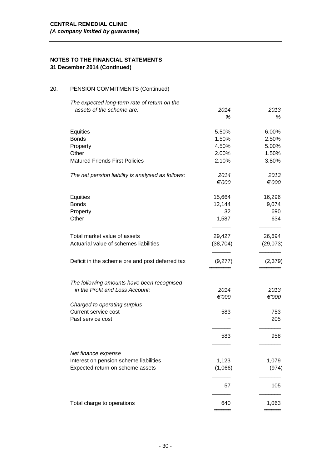# 20. PENSION COMMITMENTS (Continued)

| The expected long-term rate of return on the      |           |          |
|---------------------------------------------------|-----------|----------|
| assets of the scheme are:                         | 2014      | 2013     |
|                                                   | %         | %        |
| Equities                                          | 5.50%     | 6.00%    |
| <b>Bonds</b>                                      | 1.50%     | 2.50%    |
| Property                                          | 4.50%     | 5.00%    |
| Other                                             | 2.00%     | 1.50%    |
| <b>Matured Friends First Policies</b>             | 2.10%     | 3.80%    |
| The net pension liability is analysed as follows: | 2014      | 2013     |
|                                                   | €'000     | €'000    |
| Equities                                          | 15,664    | 16,296   |
| <b>Bonds</b>                                      | 12,144    | 9,074    |
| Property                                          | 32        | 690      |
| Other                                             | 1,587     | 634      |
| Total market value of assets                      | 29,427    | 26,694   |
| Actuarial value of schemes liabilities            | (38, 704) | (29,073) |
| Deficit in the scheme pre and post deferred tax   | (9,277)   | (2, 379) |
|                                                   |           |          |
| The following amounts have been recognised        |           |          |
| in the Profit and Loss Account:                   | 2014      | 2013     |
|                                                   | €'000     | €'000    |
| Charged to operating surplus                      |           |          |
| Current service cost                              | 583       | 753      |
| Past service cost                                 |           | 205      |
|                                                   | 583       | 958      |
|                                                   |           |          |
| Net finance expense                               |           |          |
| Interest on pension scheme liabilities            | 1,123     | 1,079    |
| Expected return on scheme assets                  | (1,066)   | (974)    |
|                                                   | 57        | 105      |
| Total charge to operations                        | 640       | 1,063    |
|                                                   |           |          |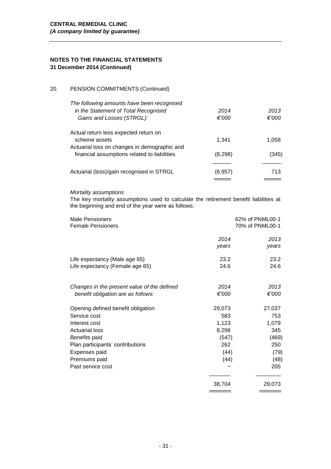# 20. PENSION COMMITMENTS (Continued)

| The following amounts have been recognised   |         |       |
|----------------------------------------------|---------|-------|
| in the Statement of Total Recognised         | 2014    | 2013  |
| Gains and Losses (STRGL):                    | €'000   | €'000 |
| Actual return less expected return on        |         |       |
| scheme assets                                | 1.341   | 1,058 |
| Actuarial loss on changes in demographic and |         |       |
| financial assumptions related to liabilities | (8,298) | (345) |
| Actuarial (loss)/gain recognised in STRGL    | (6,957) | 713   |
|                                              |         |       |

#### *Mortality assumptions*

The key mortality assumptions used to calculate the retirement benefit liabilities at the beginning and end of the year were as follows:

| <b>Male Pensioners</b><br><b>Female Pensioners</b> |        | 62% of PNML00-1<br>70% of PNML00-1 |
|----------------------------------------------------|--------|------------------------------------|
|                                                    | 2014   | 2013                               |
|                                                    | years  | years                              |
| Life expectancy (Male age 65)                      | 23.2   | 23.2                               |
| Life expectancy (Female age 65)                    | 24.6   | 24.6                               |
| Changes in the present value of the defined        | 2014   | 2013                               |
| benefit obligation are as follows:                 | €'000  | €'000                              |
| Opening defined benefit obligation                 | 29,073 | 27,037                             |
| Service cost                                       | 583    | 753                                |
| Interest cost                                      | 1,123  | 1,079                              |
| <b>Actuarial loss</b>                              | 8,298  | 345                                |
| Benefits paid                                      | (547)  | (469)                              |
| Plan participants' contributions                   | 262    | 250                                |
| Expenses paid                                      | (44)   | (79)                               |
| Premiums paid                                      | (44)   | (48)                               |
| Past service cost                                  |        | 205                                |
|                                                    | 38,704 | 29,073                             |
|                                                    |        |                                    |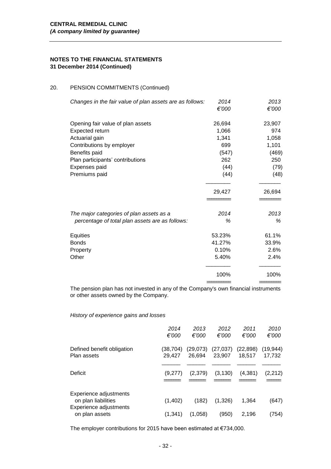#### 20. PENSION COMMITMENTS (Continued)

| Changes in the fair value of plan assets are as follows: | 2014   | 2013   |
|----------------------------------------------------------|--------|--------|
|                                                          | €'000  | €'000  |
| Opening fair value of plan assets                        | 26,694 | 23,907 |
| Expected return                                          | 1,066  | 974    |
| Actuarial gain                                           | 1,341  | 1,058  |
| Contributions by employer                                | 699    | 1,101  |
| Benefits paid                                            | (547)  | (469)  |
| Plan participants' contributions                         | 262    | 250    |
| Expenses paid                                            | (44)   | (79)   |
| Premiums paid                                            | (44)   | (48)   |
|                                                          | 29,427 | 26,694 |
|                                                          |        |        |
| The major categories of plan assets as a                 | 2014   | 2013   |
| percentage of total plan assets are as follows:          | %      | %      |
| Equities                                                 | 53.23% | 61.1%  |
| <b>Bonds</b>                                             | 41.27% | 33.9%  |
| Property                                                 | 0.10%  | 2.6%   |
| Other                                                    | 5.40%  | 2.4%   |
|                                                          | 100%   | 100%   |
|                                                          |        |        |

The pension plan has not invested in any of the Company's own financial instruments or other assets owned by the Company.

#### *History of experience gains and losses*

|                                                                         | 2014<br>€'000      | 2013<br>€'000      | 2012<br>€'000       | 2011<br>€'000       | 2010<br>€'000       |
|-------------------------------------------------------------------------|--------------------|--------------------|---------------------|---------------------|---------------------|
| Defined benefit obligation<br>Plan assets                               | (38.704)<br>29.427 | (29,073)<br>26.694 | (27, 037)<br>23.907 | (22, 898)<br>18.517 | (19, 944)<br>17.732 |
| Deficit                                                                 | (9,277)            | (2,379)            | (3, 130)            | (4,381)             | (2,212)             |
| Experience adjustments<br>on plan liabilities<br>Experience adjustments | (1,402)            | (182)              | (1,326)             | 1.364               | (647)               |
| on plan assets                                                          | (1,341)            | (1,058)            | (950)               | 2,196               | (754)               |

The employer contributions for 2015 have been estimated at €734,000.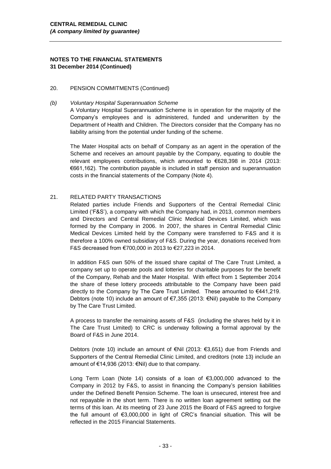### 20. PENSION COMMITMENTS (Continued)

### *(b) Voluntary Hospital Superannuation Scheme*

A Voluntary Hospital Superannuation Scheme is in operation for the majority of the Company's employees and is administered, funded and underwritten by the Department of Health and Children. The Directors consider that the Company has no liability arising from the potential under funding of the scheme.

The Mater Hospital acts on behalf of Company as an agent in the operation of the Scheme and receives an amount payable by the Company, equating to double the relevant employees contributions, which amounted to €628,398 in 2014 (2013: €661,162). The contribution payable is included in staff pension and superannuation costs in the financial statements of the Company (Note 4).

# 21. RELATED PARTY TRANSACTIONS

Related parties include Friends and Supporters of the Central Remedial Clinic Limited ('F&S'), a company with which the Company had, in 2013, common members and Directors and Central Remedial Clinic Medical Devices Limited, which was formed by the Company in 2006. In 2007, the shares in Central Remedial Clinic Medical Devices Limited held by the Company were transferred to F&S and it is therefore a 100% owned subsidiary of F&S. During the year, donations received from F&S decreased from €700,000 in 2013 to €27,223 in 2014.

In addition F&S own 50% of the issued share capital of The Care Trust Limited, a company set up to operate pools and lotteries for charitable purposes for the benefit of the Company, Rehab and the Mater Hospital. With effect from 1 September 2014 the share of these lottery proceeds attributable to the Company have been paid directly to the Company by The Care Trust Limited. These amounted to €441,219. Debtors (note 10) include an amount of €7,355 (2013: €Nil) payable to the Company by The Care Trust Limited.

A process to transfer the remaining assets of F&S (including the shares held by it in The Care Trust Limited) to CRC is underway following a formal approval by the Board of F&S in June 2014.

Debtors (note 10) include an amount of €Nil (2013: €3,651) due from Friends and Supporters of the Central Remedial Clinic Limited, and creditors (note 13) include an amount of €14,936 (2013: €Nil) due to that company.

Long Term Loan (Note 14) consists of a loan of €3,000,000 advanced to the Company in 2012 by F&S, to assist in financing the Company's pension liabilities under the Defined Benefit Pension Scheme. The loan is unsecured, interest free and not repayable in the short term. There is no written loan agreement setting out the terms of this loan. At its meeting of 23 June 2015 the Board of F&S agreed to forgive the full amount of €3,000,000 in light of CRC's financial situation. This will be reflected in the 2015 Financial Statements.